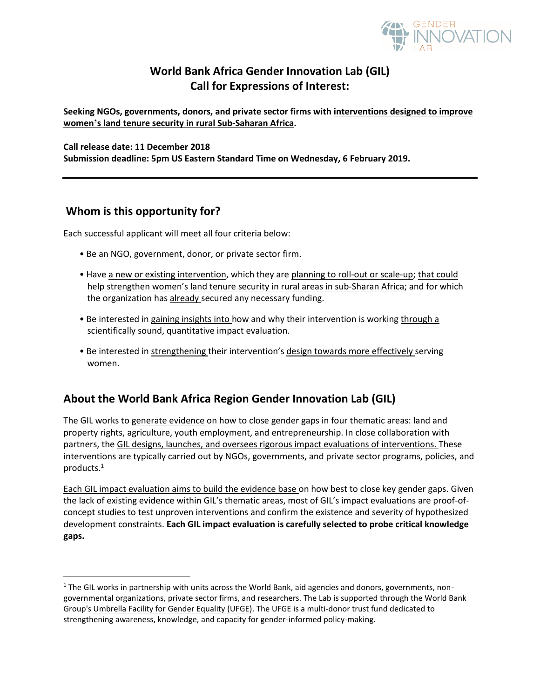

# **World Bank Africa Gender Innovation Lab (GIL) Call for Expressions of Interest:**

**Seeking NGOs, governments, donors, and private sector firms with interventions designed to improve women's land tenure security in rural Sub-Saharan Africa.**

#### **Call release date: 11 December 2018**

**Submission deadline: 5pm US Eastern Standard Time on Wednesday, 6 February 2019.**

## **Whom is this opportunity for?**

l

Each successful applicant will meet all four criteria below:

- Be an NGO, government, donor, or private sector firm.
- Have a new or existing intervention, which they are planning to roll-out or scale-up; that could help strengthen women's land tenure security in rural areas in sub-Sharan Africa; and for which the organization has already secured any necessary funding.
- Be interested in gaining insights into how and why their intervention is working through a scientifically sound, quantitative impact evaluation.
- Be interested in strengthening their intervention's design towards more effectively serving women.

## **About the World Bank Africa Region Gender Innovation Lab (GIL)**

The GIL works to generate evidence on how to close gender gaps in four thematic areas: land and property rights, agriculture, youth employment, and entrepreneurship. In close collaboration with partners, the GIL designs, launches, and oversees rigorous impact evaluations of interventions. These interventions are typically carried out by NGOs, governments, and private sector programs, policies, and products.<sup>1</sup>

Each GIL impact evaluation aims to build the evidence base on how best to close key gender gaps. Given the lack of existing evidence within GIL's thematic areas, most of GIL's impact evaluations are proof-ofconcept studies to test unproven interventions and confirm the existence and severity of hypothesized development constraints. **Each GIL impact evaluation is carefully selected to probe critical knowledge gaps.** 

 $1$  The GIL works in partnership with units across the World Bank, aid agencies and donors, governments, nongovernmental organizations, private sector firms, and researchers. The Lab is supported through the World Bank Group's [Umbrella Facility for Gender Equality \(UFGE\).](http://www.worldbank.org/en/programs/umbrellafacilityforgenderequality) The UFGE is a multi-donor trust fund dedicated to strengthening awareness, knowledge, and capacity for gender-informed policy-making.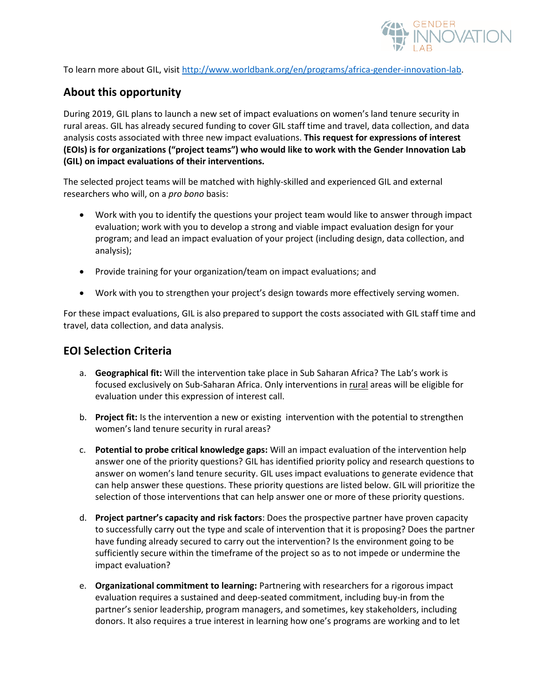

To learn more about GIL, visit [http://www.worldbank.org/en/programs/africa-gender-innovation-lab.](http://www.worldbank.org/en/programs/africa-gender-innovation-lab)

# **About this opportunity**

During 2019, GIL plans to launch a new set of impact evaluations on women's land tenure security in rural areas. GIL has already secured funding to cover GIL staff time and travel, data collection, and data analysis costs associated with three new impact evaluations. **This request for expressions of interest (EOIs) is for organizations ("project teams") who would like to work with the Gender Innovation Lab (GIL) on impact evaluations of their interventions.** 

The selected project teams will be matched with highly-skilled and experienced GIL and external researchers who will, on a *pro bono* basis:

- Work with you to identify the questions your project team would like to answer through impact evaluation; work with you to develop a strong and viable impact evaluation design for your program; and lead an impact evaluation of your project (including design, data collection, and analysis);
- Provide training for your organization/team on impact evaluations; and
- Work with you to strengthen your project's design towards more effectively serving women.

For these impact evaluations, GIL is also prepared to support the costs associated with GIL staff time and travel, data collection, and data analysis.

### **EOI Selection Criteria**

- a. **Geographical fit:** Will the intervention take place in Sub Saharan Africa? The Lab's work is focused exclusively on Sub-Saharan Africa. Only interventions in rural areas will be eligible for evaluation under this expression of interest call.
- b. **Project fit:** Is the intervention a new or existing intervention with the potential to strengthen women's land tenure security in rural areas?
- c. **Potential to probe critical knowledge gaps:** Will an impact evaluation of the intervention help answer one of the priority questions? GIL has identified priority policy and research questions to answer on women's land tenure security. GIL uses impact evaluations to generate evidence that can help answer these questions. These priority questions are listed below. GIL will prioritize the selection of those interventions that can help answer one or more of these priority questions.
- d. **Project partner's capacity and risk factors**: Does the prospective partner have proven capacity to successfully carry out the type and scale of intervention that it is proposing? Does the partner have funding already secured to carry out the intervention? Is the environment going to be sufficiently secure within the timeframe of the project so as to not impede or undermine the impact evaluation?
- e. **Organizational commitment to learning:** Partnering with researchers for a rigorous impact evaluation requires a sustained and deep-seated commitment, including buy-in from the partner's senior leadership, program managers, and sometimes, key stakeholders, including donors. It also requires a true interest in learning how one's programs are working and to let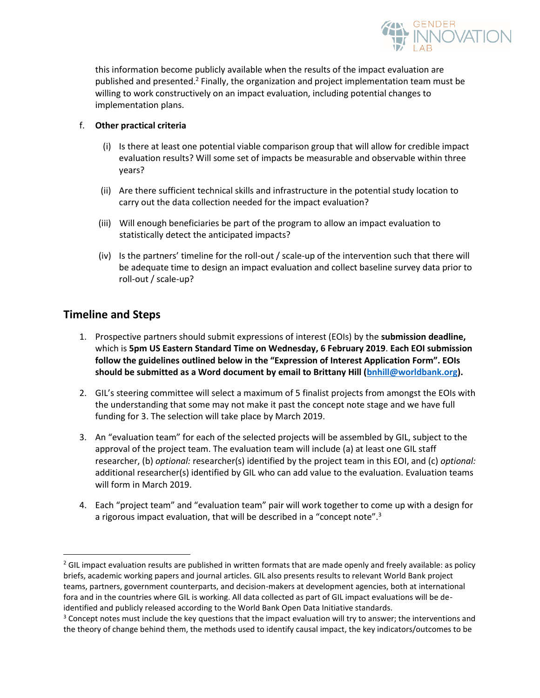

this information become publicly available when the results of the impact evaluation are published and presented.<sup>2</sup> Finally, the organization and project implementation team must be willing to work constructively on an impact evaluation, including potential changes to implementation plans.

#### f. **Other practical criteria**

- (i) Is there at least one potential viable comparison group that will allow for credible impact evaluation results? Will some set of impacts be measurable and observable within three years?
- (ii) Are there sufficient technical skills and infrastructure in the potential study location to carry out the data collection needed for the impact evaluation?
- (iii) Will enough beneficiaries be part of the program to allow an impact evaluation to statistically detect the anticipated impacts?
- (iv) Is the partners' timeline for the roll-out / scale-up of the intervention such that there will be adequate time to design an impact evaluation and collect baseline survey data prior to roll-out / scale-up?

## **Timeline and Steps**

 $\overline{\phantom{a}}$ 

- 1. Prospective partners should submit expressions of interest (EOIs) by the **submission deadline,**  which is **5pm US Eastern Standard Time on Wednesday, 6 February 2019**. **Each EOI submission follow the guidelines outlined below in the "Expression of Interest Application Form". EOIs should be submitted as a Word document by email to Brittany Hill [\(bnhill@worldbank.org\)](mailto:bnhill@worldbank.org).**
- 2. GIL's steering committee will select a maximum of 5 finalist projects from amongst the EOIs with the understanding that some may not make it past the concept note stage and we have full funding for 3. The selection will take place by March 2019.
- 3. An "evaluation team" for each of the selected projects will be assembled by GIL, subject to the approval of the project team. The evaluation team will include (a) at least one GIL staff researcher, (b) *optional:* researcher(s) identified by the project team in this EOI, and (c) *optional:*  additional researcher(s) identified by GIL who can add value to the evaluation. Evaluation teams will form in March 2019.
- 4. Each "project team" and "evaluation team" pair will work together to come up with a design for a rigorous impact evaluation, that will be described in a "concept note".<sup>3</sup>

 $2$  GIL impact evaluation results are published in written formats that are made openly and freely available: as policy briefs, academic working papers and journal articles. GIL also presents results to relevant World Bank project teams, partners, government counterparts, and decision-makers at development agencies, both at international fora and in the countries where GIL is working. All data collected as part of GIL impact evaluations will be deidentified and publicly released according to the World Bank Open Data Initiative standards.

<sup>&</sup>lt;sup>3</sup> Concept notes must include the key questions that the impact evaluation will try to answer; the interventions and the theory of change behind them, the methods used to identify causal impact, the key indicators/outcomes to be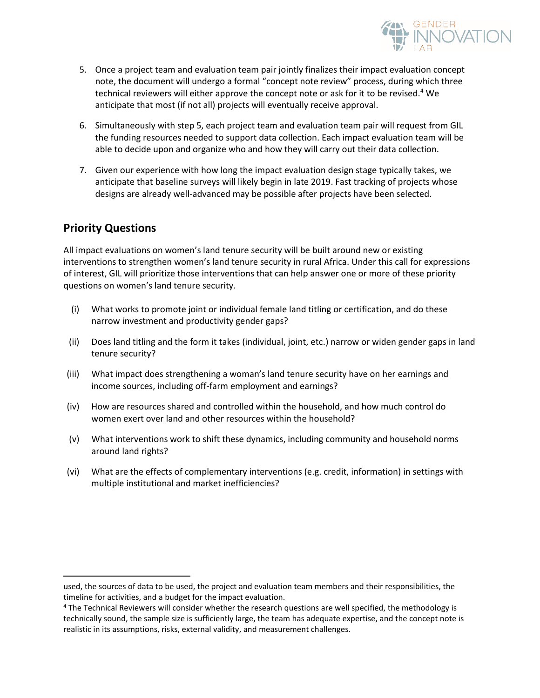

- 5. Once a project team and evaluation team pair jointly finalizes their impact evaluation concept note, the document will undergo a formal "concept note review" process, during which three technical reviewers will either approve the concept note or ask for it to be revised.<sup>4</sup> We anticipate that most (if not all) projects will eventually receive approval.
- 6. Simultaneously with step 5, each project team and evaluation team pair will request from GIL the funding resources needed to support data collection. Each impact evaluation team will be able to decide upon and organize who and how they will carry out their data collection.
- 7. Given our experience with how long the impact evaluation design stage typically takes, we anticipate that baseline surveys will likely begin in late 2019. Fast tracking of projects whose designs are already well-advanced may be possible after projects have been selected.

### **Priority Questions**

 $\overline{\phantom{a}}$ 

All impact evaluations on women's land tenure security will be built around new or existing interventions to strengthen women's land tenure security in rural Africa. Under this call for expressions of interest, GIL will prioritize those interventions that can help answer one or more of these priority questions on women's land tenure security.

- (i) What works to promote joint or individual female land titling or certification, and do these narrow investment and productivity gender gaps?
- (ii) Does land titling and the form it takes (individual, joint, etc.) narrow or widen gender gaps in land tenure security?
- (iii) What impact does strengthening a woman's land tenure security have on her earnings and income sources, including off-farm employment and earnings?
- (iv) How are resources shared and controlled within the household, and how much control do women exert over land and other resources within the household?
- (v) What interventions work to shift these dynamics, including community and household norms around land rights?
- (vi) What are the effects of complementary interventions (e.g. credit, information) in settings with multiple institutional and market inefficiencies?

used, the sources of data to be used, the project and evaluation team members and their responsibilities, the timeline for activities, and a budget for the impact evaluation.

<sup>4</sup> The Technical Reviewers will consider whether the research questions are well specified, the methodology is technically sound, the sample size is sufficiently large, the team has adequate expertise, and the concept note is realistic in its assumptions, risks, external validity, and measurement challenges.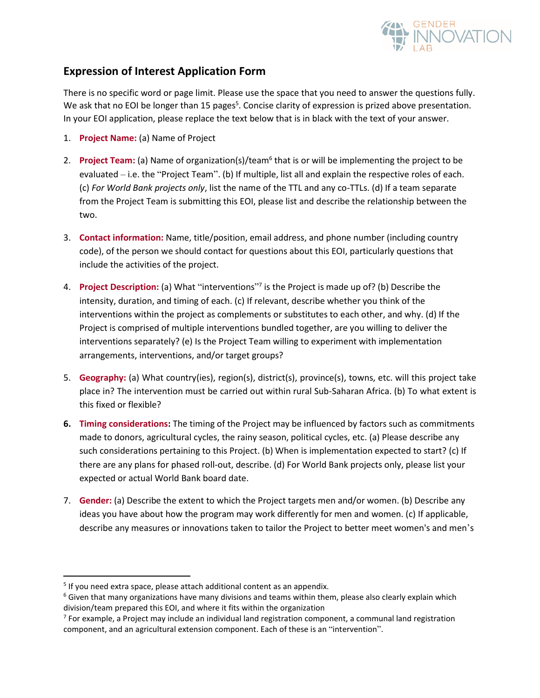

## **Expression of Interest Application Form**

There is no specific word or page limit. Please use the space that you need to answer the questions fully. We ask that no EOI be longer than 15 pages<sup>5</sup>. Concise clarity of expression is prized above presentation. In your EOI application, please replace the text below that is in black with the text of your answer.

- 1. **Project Name:** (a) Name of Project
- 2. Project Team: (a) Name of organization(s)/team<sup>6</sup> that is or will be implementing the project to be evaluated – i.e. the "Project Team". (b) If multiple, list all and explain the respective roles of each. (c) *For World Bank projects only*, list the name of the TTL and any co-TTLs. (d) If a team separate from the Project Team is submitting this EOI, please list and describe the relationship between the two.
- 3. **Contact information:** Name, title/position, email address, and phone number (including country code), of the person we should contact for questions about this EOI, particularly questions that include the activities of the project.
- 4. **Project Description:** (a) What "interventions"<sup>7</sup> is the Project is made up of? (b) Describe the intensity, duration, and timing of each. (c) If relevant, describe whether you think of the interventions within the project as complements or substitutes to each other, and why. (d) If the Project is comprised of multiple interventions bundled together, are you willing to deliver the interventions separately? (e) Is the Project Team willing to experiment with implementation arrangements, interventions, and/or target groups?
- 5. **Geography:** (a) What country(ies), region(s), district(s), province(s), towns, etc. will this project take place in? The intervention must be carried out within rural Sub-Saharan Africa. (b) To what extent is this fixed or flexible?
- **6. Timing considerations:** The timing of the Project may be influenced by factors such as commitments made to donors, agricultural cycles, the rainy season, political cycles, etc. (a) Please describe any such considerations pertaining to this Project. (b) When is implementation expected to start? (c) If there are any plans for phased roll-out, describe. (d) For World Bank projects only, please list your expected or actual World Bank board date.
- 7. **Gender:** (a) Describe the extent to which the Project targets men and/or women. (b) Describe any ideas you have about how the program may work differently for men and women. (c) If applicable, describe any measures or innovations taken to tailor the Project to better meet women's and men's

 $\overline{\phantom{a}}$ 

<sup>&</sup>lt;sup>5</sup> If you need extra space, please attach additional content as an appendix.

 $6$  Given that many organizations have many divisions and teams within them, please also clearly explain which division/team prepared this EOI, and where it fits within the organization

 $^7$  For example, a Project may include an individual land registration component, a communal land registration component, and an agricultural extension component. Each of these is an "intervention".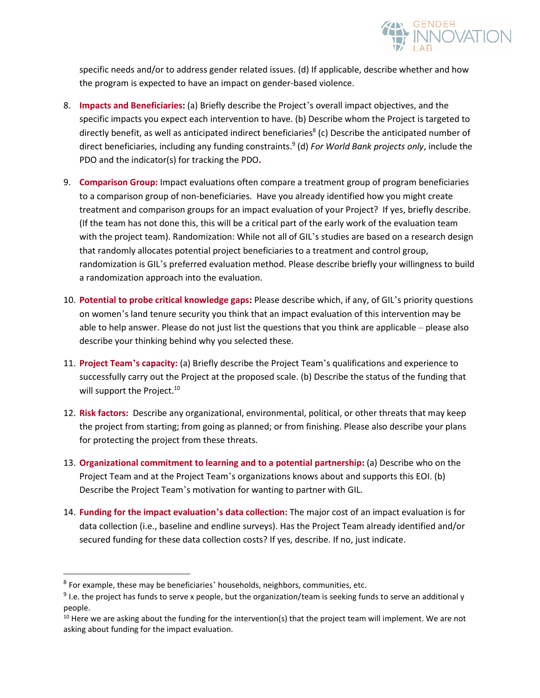

specific needs and/or to address gender related issues. (d) If applicable, describe whether and how the program is expected to have an impact on gender-based violence.

- 8. **Impacts and Beneficiaries:** (a) Briefly describe the Project's overall impact objectives, and the specific impacts you expect each intervention to have. (b) Describe whom the Project is targeted to directly benefit, as well as anticipated indirect beneficiaries<sup>8</sup> (c) Describe the anticipated number of direct beneficiaries, including any funding constraints. 9 (d) *For World Bank projects only*, include the PDO and the indicator(s) for tracking the PDO**.**
- 9. **Comparison Group:** Impact evaluations often compare a treatment group of program beneficiaries to a comparison group of non-beneficiaries. Have you already identified how you might create treatment and comparison groups for an impact evaluation of your Project? If yes, briefly describe. (If the team has not done this, this will be a critical part of the early work of the evaluation team with the project team). Randomization: While not all of GIL's studies are based on a research design that randomly allocates potential project beneficiaries to a treatment and control group, randomization is GIL's preferred evaluation method. Please describe briefly your willingness to build a randomization approach into the evaluation.
- 10. **Potential to probe critical knowledge gaps:** Please describe which, if any, of GIL's priority questions on women's land tenure security you think that an impact evaluation of this intervention may be able to help answer. Please do not just list the questions that you think are applicable – please also describe your thinking behind why you selected these.
- 11. **Project Team's capacity:** (a) Briefly describe the Project Team's qualifications and experience to successfully carry out the Project at the proposed scale. (b) Describe the status of the funding that will support the Project.<sup>10</sup>
- 12. **Risk factors:** Describe any organizational, environmental, political, or other threats that may keep the project from starting; from going as planned; or from finishing. Please also describe your plans for protecting the project from these threats.
- 13. **Organizational commitment to learning and to a potential partnership:** (a) Describe who on the Project Team and at the Project Team's organizations knows about and supports this EOI. (b) Describe the Project Team's motivation for wanting to partner with GIL.
- 14. **Funding for the impact evaluation's data collection:** The major cost of an impact evaluation is for data collection (i.e., baseline and endline surveys). Has the Project Team already identified and/or secured funding for these data collection costs? If yes, describe. If no, just indicate.

l

 $^8$  For example, these may be beneficiaries' households, neighbors, communities, etc.

 $^9$  l.e. the project has funds to serve x people, but the organization/team is seeking funds to serve an additional y people.

 $10$  Here we are asking about the funding for the intervention(s) that the project team will implement. We are not asking about funding for the impact evaluation.